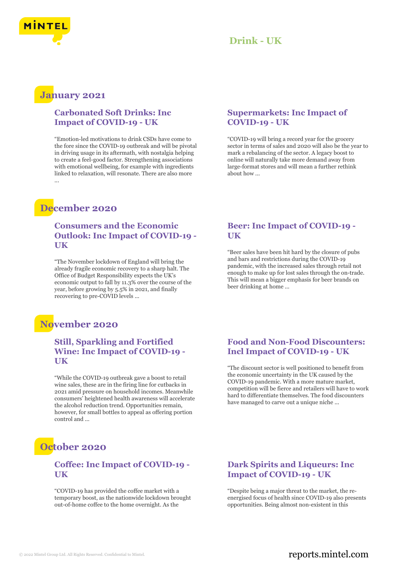

### **January 2021**

#### **Carbonated Soft Drinks: Inc Impact of COVID-19 - UK**

"Emotion-led motivations to drink CSDs have come to the fore since the COVID-19 outbreak and will be pivotal in driving usage in its aftermath, with nostalgia helping to create a feel-good factor. Strengthening associations with emotional wellbeing, for example with ingredients linked to relaxation, will resonate. There are also more ...

## **December 2020**

#### **Consumers and the Economic Outlook: Inc Impact of COVID-19 - UK**

"The November lockdown of England will bring the already fragile economic recovery to a sharp halt. The Office of Budget Responsibility expects the UK's economic output to fall by 11.3% over the course of the year, before growing by 5.5% in 2021, and finally recovering to pre-COVID levels ...

## **November 2020**

#### **Still, Sparkling and Fortified Wine: Inc Impact of COVID-19 - UK**

"While the COVID-19 outbreak gave a boost to retail wine sales, these are in the firing line for cutbacks in 2021 amid pressure on household incomes. Meanwhile consumers' heightened health awareness will accelerate the alcohol reduction trend. Opportunities remain, however, for small bottles to appeal as offering portion control and ...

## **October 2020**

#### **Coffee: Inc Impact of COVID-19 - UK**

"COVID-19 has provided the coffee market with a temporary boost, as the nationwide lockdown brought out-of-home coffee to the home overnight. As the

#### **Supermarkets: Inc Impact of COVID-19 - UK**

"COVID-19 will bring a record year for the grocery sector in terms of sales and 2020 will also be the year to mark a rebalancing of the sector. A legacy boost to online will naturally take more demand away from large-format stores and will mean a further rethink about how ...

#### **Beer: Inc Impact of COVID-19 - UK**

"Beer sales have been hit hard by the closure of pubs and bars and restrictions during the COVID-19 pandemic, with the increased sales through retail not enough to make up for lost sales through the on-trade. This will mean a bigger emphasis for beer brands on beer drinking at home ...

#### **Food and Non-Food Discounters: Incl Impact of COVID-19 - UK**

"The discount sector is well positioned to benefit from the economic uncertainty in the UK caused by the COVID-19 pandemic. With a more mature market, competition will be fierce and retailers will have to work hard to differentiate themselves. The food discounters have managed to carve out a unique niche ...

#### **Dark Spirits and Liqueurs: Inc Impact of COVID-19 - UK**

"Despite being a major threat to the market, the reenergised focus of health since COVID-19 also presents opportunities. Being almost non-existent in this

#### © 2022 Mintel Group Ltd. All Rights Reserved. Confidential to Mintel.  $\blacksquare$  reports.mintel.com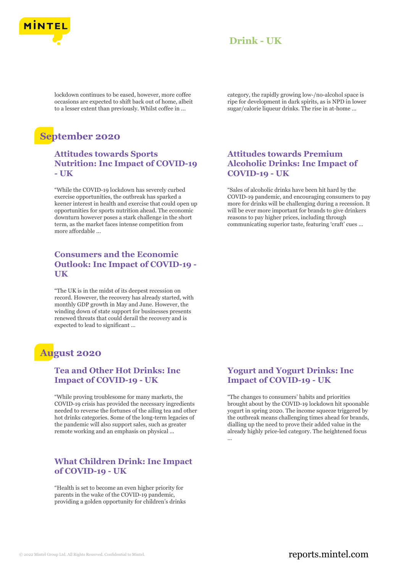

lockdown continues to be eased, however, more coffee occasions are expected to shift back out of home, albeit to a lesser extent than previously. Whilst coffee in ...

# **September 2020**

#### **Attitudes towards Sports Nutrition: Inc Impact of COVID-19 - UK**

"While the COVID-19 lockdown has severely curbed exercise opportunities, the outbreak has sparked a keener interest in health and exercise that could open up opportunities for sports nutrition ahead. The economic downturn however poses a stark challenge in the short term, as the market faces intense competition from more affordable ...

#### **Consumers and the Economic Outlook: Inc Impact of COVID-19 - UK**

"The UK is in the midst of its deepest recession on record. However, the recovery has already started, with monthly GDP growth in May and June. However, the winding down of state support for businesses presents renewed threats that could derail the recovery and is expected to lead to significant ...

### **August 2020**

#### **Tea and Other Hot Drinks: Inc Impact of COVID-19 - UK**

"While proving troublesome for many markets, the COVID-19 crisis has provided the necessary ingredients needed to reverse the fortunes of the ailing tea and other hot drinks categories. Some of the long-term legacies of the pandemic will also support sales, such as greater remote working and an emphasis on physical ...

#### **What Children Drink: Inc Impact of COVID-19 - UK**

"Health is set to become an even higher priority for parents in the wake of the COVID-19 pandemic, providing a golden opportunity for children's drinks category, the rapidly growing low-/no-alcohol space is ripe for development in dark spirits, as is NPD in lower sugar/calorie liqueur drinks. The rise in at-home ...

#### **Attitudes towards Premium Alcoholic Drinks: Inc Impact of COVID-19 - UK**

"Sales of alcoholic drinks have been hit hard by the COVID-19 pandemic, and encouraging consumers to pay more for drinks will be challenging during a recession. It will be ever more important for brands to give drinkers reasons to pay higher prices, including through communicating superior taste, featuring 'craft' cues ...

#### **Yogurt and Yogurt Drinks: Inc Impact of COVID-19 - UK**

"The changes to consumers' habits and priorities brought about by the COVID-19 lockdown hit spoonable yogurt in spring 2020. The income squeeze triggered by the outbreak means challenging times ahead for brands, dialling up the need to prove their added value in the already highly price-led category. The heightened focus ...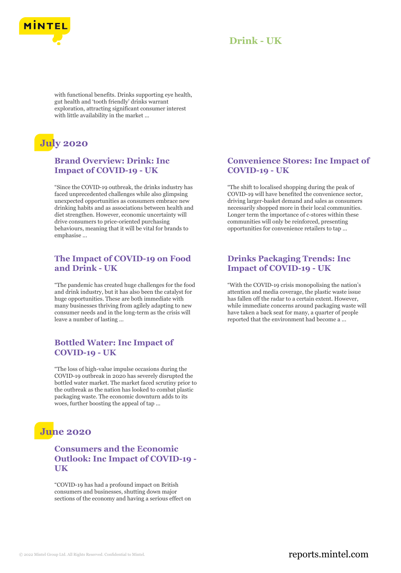

with functional benefits. Drinks supporting eye health, gut health and 'tooth friendly' drinks warrant exploration, attracting significant consumer interest with little availability in the market ...

# **July 2020**

#### **Brand Overview: Drink: Inc Impact of COVID-19 - UK**

"Since the COVID-19 outbreak, the drinks industry has faced unprecedented challenges while also glimpsing unexpected opportunities as consumers embrace new drinking habits and as associations between health and diet strengthen. However, economic uncertainty will drive consumers to price-oriented purchasing behaviours, meaning that it will be vital for brands to emphasise ...

#### **The Impact of COVID-19 on Food and Drink - UK**

"The pandemic has created huge challenges for the food and drink industry, but it has also been the catalyst for huge opportunities. These are both immediate with many businesses thriving from agilely adapting to new consumer needs and in the long-term as the crisis will leave a number of lasting ...

#### **Bottled Water: Inc Impact of COVID-19 - UK**

"The loss of high-value impulse occasions during the COVID-19 outbreak in 2020 has severely disrupted the bottled water market. The market faced scrutiny prior to the outbreak as the nation has looked to combat plastic packaging waste. The economic downturn adds to its woes, further boosting the appeal of tap ...

## **June 2020**

#### **Consumers and the Economic Outlook: Inc Impact of COVID-19 - UK**

"COVID-19 has had a profound impact on British consumers and businesses, shutting down major sections of the economy and having a serious effect on

#### **Convenience Stores: Inc Impact of COVID-19 - UK**

"The shift to localised shopping during the peak of COVID-19 will have benefited the convenience sector, driving larger-basket demand and sales as consumers necessarily shopped more in their local communities. Longer term the importance of c-stores within these communities will only be reinforced, presenting opportunities for convenience retailers to tap ...

#### **Drinks Packaging Trends: Inc Impact of COVID-19 - UK**

"With the COVID-19 crisis monopolising the nation's attention and media coverage, the plastic waste issue has fallen off the radar to a certain extent. However, while immediate concerns around packaging waste will have taken a back seat for many, a quarter of people reported that the environment had become a ...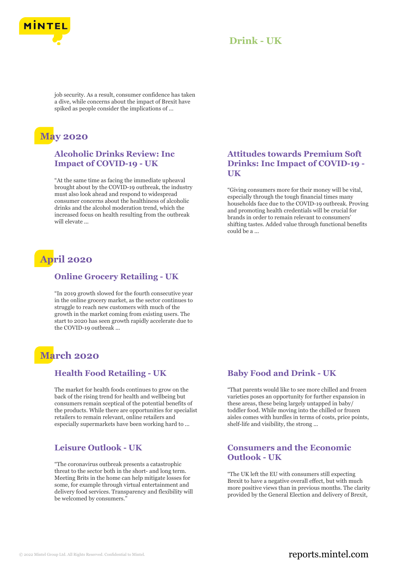

job security. As a result, consumer confidence has taken a dive, while concerns about the impact of Brexit have spiked as people consider the implications of ...

## **May 2020**

#### **Alcoholic Drinks Review: Inc Impact of COVID-19 - UK**

"At the same time as facing the immediate upheaval brought about by the COVID-19 outbreak, the industry must also look ahead and respond to widespread consumer concerns about the healthiness of alcoholic drinks and the alcohol moderation trend, which the increased focus on health resulting from the outbreak will elevate ...

# **April 2020**

#### **Online Grocery Retailing - UK**

"In 2019 growth slowed for the fourth consecutive year in the online grocery market, as the sector continues to struggle to reach new customers with much of the growth in the market coming from existing users. The start to 2020 has seen growth rapidly accelerate due to the COVID-19 outbreak ...

## **March 2020**

#### **Health Food Retailing - UK**

The market for health foods continues to grow on the back of the rising trend for health and wellbeing but consumers remain sceptical of the potential benefits of the products. While there are opportunities for specialist retailers to remain relevant, online retailers and especially supermarkets have been working hard to ...

#### **Leisure Outlook - UK**

"The coronavirus outbreak presents a catastrophic threat to the sector both in the short- and long term. Meeting Brits in the home can help mitigate losses for some, for example through virtual entertainment and delivery food services. Transparency and flexibility will be welcomed by consumers."

#### **Attitudes towards Premium Soft Drinks: Inc Impact of COVID-19 - UK**

"Giving consumers more for their money will be vital, especially through the tough financial times many households face due to the COVID-19 outbreak. Proving and promoting health credentials will be crucial for brands in order to remain relevant to consumers' shifting tastes. Added value through functional benefits could be a ...

#### **Baby Food and Drink - UK**

"That parents would like to see more chilled and frozen varieties poses an opportunity for further expansion in these areas, these being largely untapped in baby/ toddler food. While moving into the chilled or frozen aisles comes with hurdles in terms of costs, price points, shelf-life and visibility, the strong ...

#### **Consumers and the Economic Outlook - UK**

"The UK left the EU with consumers still expecting Brexit to have a negative overall effect, but with much more positive views than in previous months. The clarity provided by the General Election and delivery of Brexit,